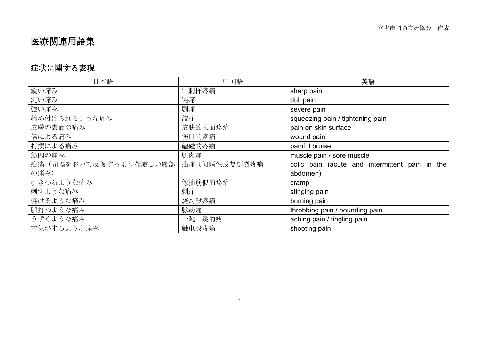# 医療関連用語集

### 症状に関する表現

| 日本語                    | 中国語          | 英語                                             |
|------------------------|--------------|------------------------------------------------|
| 鋭い痛み                   | 针刺样疼痛        | sharp pain                                     |
| 鈍い痛み                   | 钝痛           | dull pain                                      |
| 強い痛み                   | 剧痛           | severe pain                                    |
| 締め付けられるような痛み           | 绞痛           | squeezing pain / tightening pain               |
| 皮膚の表面の痛み               | 皮肤的表面疼痛      | pain on skin surface                           |
| 傷による痛み                 | 伤口的疼痛        | wound pain                                     |
| 打撲による痛み                | 磕碰的疼痛        | painful bruise                                 |
| 筋肉の痛み                  | 肌肉痛          | muscle pain / sore muscle                      |
| 疝痛(間隔をおいて反復するような激しい腹部) | 疝痛(间隔性反复剧烈疼痛 | colic pain (acute and intermittent pain in the |
| の痛み)                   |              | abdomen)                                       |
| 引きつるような痛み              | 像抽筋似的疼痛      | cramp                                          |
| 刺すような痛み                | 刺痛           | stinging pain                                  |
| 焼けるような痛み               | 烧灼般疼痛        | burning pain                                   |
| 脈打つような痛み               | 脉动痛          | throbbing pain / pounding pain                 |
| うずくような痛み               | 一跳一跳的疼       | aching pain / tingling pain                    |
| 電気が走るような痛み             | 触电般疼痛        | shooting pain                                  |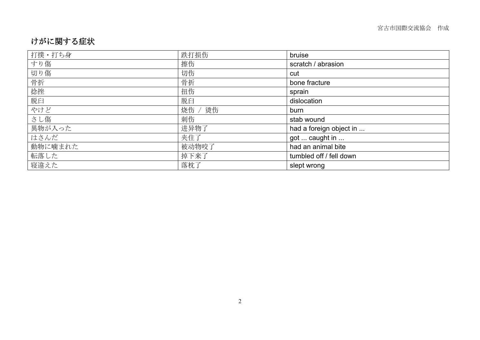#### けがに関する症状

| 打撲・打ち身  | 跌打损伤     | bruise                  |
|---------|----------|-------------------------|
| すり傷     | 擦伤       | scratch / abrasion      |
| 切り傷     | 切伤       | cut                     |
| 骨折      | 骨折       | bone fracture           |
| 捻挫      | 扭伤       | sprain                  |
| 脱臼      | 脱臼       | dislocation             |
| やけど     | 烫伤<br>烧伤 | burn                    |
| さし傷     | 刺伤       | stab wound              |
| 異物が入った  | 进异物了     | had a foreign object in |
| はさんだ    | 夹住了      | got  caught in          |
| 動物に噛まれた | 被动物咬了    | had an animal bite      |
| 転落した    | 掉下来了     | tumbled off / fell down |
| 寝違えた    | 落枕了      | slept wrong             |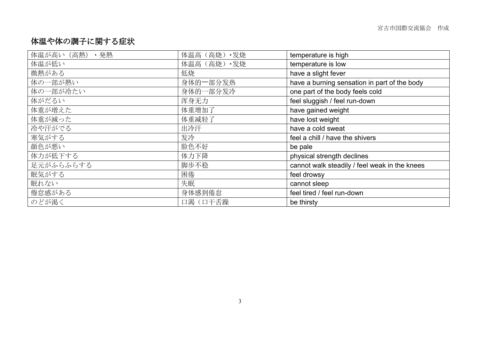#### 体温や体の調子に関する症状

| 体温が高い (高熱)<br>・発熱 | 体温高 (高烧) • 发烧 | temperature is high                           |
|-------------------|---------------|-----------------------------------------------|
| 体温が低い             | 体温高 (高烧) • 发烧 | temperature is low                            |
| 微熱がある             | 低烧            | have a slight fever                           |
| 体の一部が熱い           | 身体的一部分发热      | have a burning sensation in part of the body  |
| 体の一部が冷たい          | 身体的一部分发冷      | one part of the body feels cold               |
| 体がだるい             | 浑身无力          | feel sluggish / feel run-down                 |
| 体重が増えた            | 体重增加了         | have gained weight                            |
| 体重が減った            | 体重减轻了         | have lost weight                              |
| 冷や汗がでる            | 出冷汗           | have a cold sweat                             |
| 寒気がする             | 发冷            | feel a chill / have the shivers               |
| 顔色が悪い             | 脸色不好          | be pale                                       |
| 体力が低下する           | 体力下降          | physical strength declines                    |
| 足元がふらふらする         | 脚步不稳          | cannot walk steadily / feel weak in the knees |
| 眠気がする             | 困倦            | feel drowsy                                   |
| 眠れない              | 失眠            | cannot sleep                                  |
| 倦怠感がある            | 身体感到倦怠        | feel tired / feel run-down                    |
| のどが渇く             | 口渴(口干舌躁       | be thirsty                                    |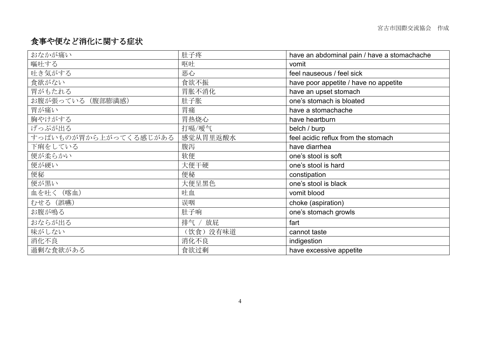#### 食事や便など消化に関する症状

| おなかが痛い                | 肚子疼       | have an abdominal pain / have a stomachache |
|-----------------------|-----------|---------------------------------------------|
| 嘔吐する                  | 呕吐        | vomit                                       |
| 吐き気がする                | 恶心        | feel nauseous / feel sick                   |
| 食欲がない                 | 食欲不振      | have poor appetite / have no appetite       |
| 胃がもたれる                | 胃胀不消化     | have an upset stomach                       |
| お腹が張っている(腹部膨満感)       | 肚子胀       | one's stomach is bloated                    |
| 胃が痛い                  | 胃痛        | have a stomachache                          |
| 胸やけがする                | 胃热烧心      | have heartburn                              |
| げっぷが出る                | 打嗝/嗳气     | belch / burp                                |
| すっぱいものが胃から上がってくる感じがある | 感觉从胃里返酸水  | feel acidic reflux from the stomach         |
| 下痢をしている               | 腹泻        | have diarrhea                               |
| 便が柔らかい                | 软便        | one's stool is soft                         |
| 便が硬い                  | 大便干硬      | one's stool is hard                         |
| 便秘                    | 便秘        | constipation                                |
| 便が黒い                  | 大便呈黑色     | one's stool is black                        |
| 血を吐く (喀血)             | 吐血        | vomit blood                                 |
| むせる (誤嚥)              | 误咽        | choke (aspiration)                          |
| お腹が鳴る                 | 肚子响       | one's stomach growls                        |
| おならが出る                | 排气 / 放屁   | fart                                        |
| 味がしない                 | (饮食) 没有味道 | cannot taste                                |
| 消化不良                  | 消化不良      | indigestion                                 |
| 過剰な食欲がある              | 食欲过剩      | have excessive appetite                     |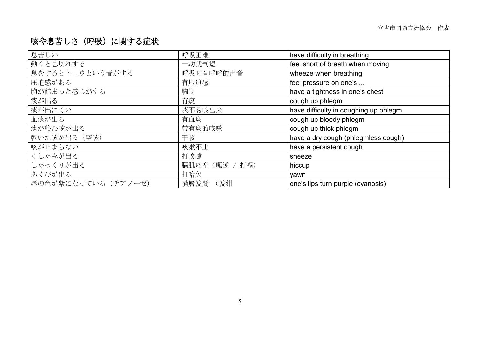#### 咳や息苦しさ(呼吸)に関する症状

| 息苦しい                | 呼吸困难               | have difficulty in breathing          |
|---------------------|--------------------|---------------------------------------|
| 動くと息切れする            | 一动就气短              | feel short of breath when moving      |
| 息をするとヒュウという音がする     | 呼吸时有呼呼的声音          | wheeze when breathing                 |
| 圧迫感がある              | 有压迫感               | feel pressure on one's                |
| 胸が詰まった感じがする         | 胸闷                 | have a tightness in one's chest       |
| 痰が出る                | 有痰                 | cough up phlegm                       |
| 痰が出にくい              | 痰不易咳出来             | have difficulty in coughing up phlegm |
| 血痰が出る               | 有血痰                | cough up bloody phlegm                |
| 痰が絡む咳が出る            | 带有痰的咳嗽             | cough up thick phlegm                 |
| 乾いた咳が出る (空咳)        | 干咳                 | have a dry cough (phlegmless cough)   |
| 咳が止まらない             | 咳嗽不止               | have a persistent cough               |
| くしゃみが出る             | 打喷嚏                | sneeze                                |
| しゃっくりが出る            | 膈肌痉挛(呃逆 /<br>/ 打嗝) | hiccup                                |
| あくびが出る              | 打哈欠                | yawn                                  |
| 唇の色が紫になっている (チアノーゼ) | (发绀<br>嘴唇发紫        | one's lips turn purple (cyanosis)     |
|                     |                    |                                       |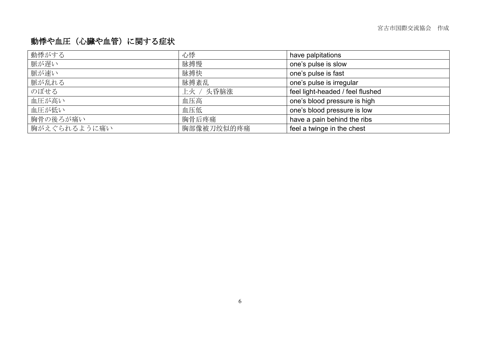# 動悸や血圧(心臓や血管)に関する症状

| 動悸がする        | 心悸         | have palpitations                |
|--------------|------------|----------------------------------|
| 脈が遅い         | 脉搏慢        | one's pulse is slow              |
| 脈が速い         | 脉搏快        | one's pulse is fast              |
| 脈が乱れる        | 脉搏紊乱       | one's pulse is irregular         |
| のぼせる         | 上火 / 头昏脑涨  | feel light-headed / feel flushed |
| 血圧が高い        | 血压高        | one's blood pressure is high     |
| 血圧が低い        | 血压低        | one's blood pressure is low      |
| 胸骨の後ろが痛い     | 胸骨后疼痛      | have a pain behind the ribs      |
| 胸がえぐられるように痛い | 胸部像被刀绞似的疼痛 | feel a twinge in the chest       |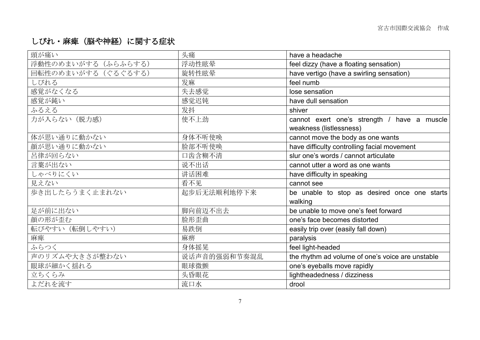## しびれ・麻痺(脳や神経)に関する症状

| 頭が痛い                | 头痛           | have a headache                                         |
|---------------------|--------------|---------------------------------------------------------|
| 浮動性のめまいがする(ふらふらする)  | 浮动性眩晕        | feel dizzy (have a floating sensation)                  |
| 回転性のめまいがする (ぐるぐるする) | 旋转性眩晕        | have vertigo (have a swirling sensation)                |
| しびれる                | 发麻           | feel numb                                               |
| 感覚がなくなる             | 失去感觉         | lose sensation                                          |
| 感覚が鈍い               | 感觉迟钝         | have dull sensation                                     |
| ふるえる                | 发抖           | shiver                                                  |
| 力が入らない (脱力感)        | 使不上劲         | cannot exert one's strength / have a muscle             |
|                     |              | weakness (listlessness)                                 |
| 体が思い通りに動かない         | 身体不听使唤       | cannot move the body as one wants                       |
| 顔が思い通りに動かない         | 脸部不听使唤       | have difficulty controlling facial movement             |
| 呂律が回らない             | 口齿含糊不清       | slur one's words / cannot articulate                    |
| 言葉が出ない              | 说不出话         | cannot utter a word as one wants                        |
| しゃべりにくい             | 讲话困难         | have difficulty in speaking                             |
| 見えない                | 看不见          | cannot see                                              |
| 歩き出したらうまく止まれない      | 起步后无法顺利地停下来  | be unable to stop as desired once one starts<br>walking |
| 足が前に出ない             | 脚向前迈不出去      | be unable to move one's feet forward                    |
| 顔の形が歪む              | 脸形歪曲         | one's face becomes distorted                            |
| 転びやすい (転倒しやすい)      | 易跌倒          | easily trip over (easily fall down)                     |
| 麻痺                  | 麻痹           | paralysis                                               |
| ふらつく                | 身体摇晃         | feel light-headed                                       |
| 声のリズムや大きさが整わない      | 说话声音的强弱和节奏混乱 | the rhythm ad volume of one's voice are unstable        |
| 眼球が細かく揺れる           | 眼球微颤         | one's eyeballs move rapidly                             |
| 立ちくらみ               | 头昏眼花         | lightheadedness / dizziness                             |
| よだれを流す              | 流口水          | drool                                                   |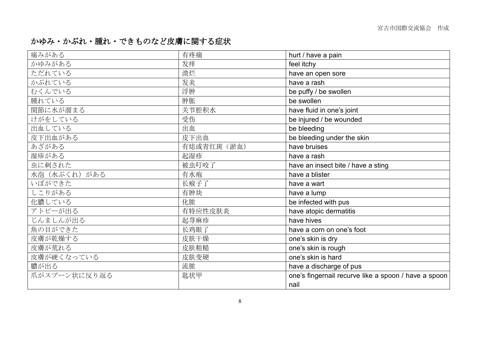#### かゆみ・かぶれ・腫れ・できものなど皮膚に関する症状

| 痛みがある         | 有疼痛        | hurt / have a pain                                   |
|---------------|------------|------------------------------------------------------|
| かゆみがある        | 发痒         | feel itchy                                           |
| ただれている        | 溃烂         | have an open sore                                    |
| かぶれている        | 发炎         | have a rash                                          |
| むくんでいる        | 浮肿         | be puffy / be swollen                                |
| 腫れている         | 肿胀         | be swollen                                           |
| 関節に水が溜まる      | 关节腔积水      | have fluid in one's joint                            |
| けがをしている       | 受伤         | be injured / be wounded                              |
| 出血している        | 出血         | be bleeding                                          |
| 皮下出血がある       | 皮下出血       | be bleeding under the skin                           |
| あざがある         | 有痣或青红斑(淤血) | have bruises                                         |
| 湿疹がある         | 起湿疹        | have a rash                                          |
| 虫に刺された        | 被虫叮咬了      | have an insect bite / have a sting                   |
| 水泡 (水ぶくれ) がある | 有水疱        | have a blister                                       |
| いぼができた        | 长瘊子了       | have a wart                                          |
| しこりがある        | 有肿块        | have a lump                                          |
| 化膿している        | 化脓         | be infected with pus                                 |
| アトピーが出る       | 有特应性皮肤炎    | have atopic dermatitis                               |
| じんましんが出る      | 起荨麻疹       | have hives                                           |
| 魚の目ができた       | 长鸡眼了       | have a corn on one's foot                            |
| 皮膚が乾燥する       | 皮肤干燥       | one's skin is dry                                    |
| 皮膚が荒れる        | 皮肤粗糙       | one's skin is rough                                  |
| 皮膚が硬くなっている    | 皮肤变硬       | one's skin is hard                                   |
| 膿が出る          | 流脓         | have a discharge of pus                              |
| 爪がスプーン状に反り返る  | 匙状甲        | one's fingernail recurve like a spoon / have a spoon |
|               |            | nail                                                 |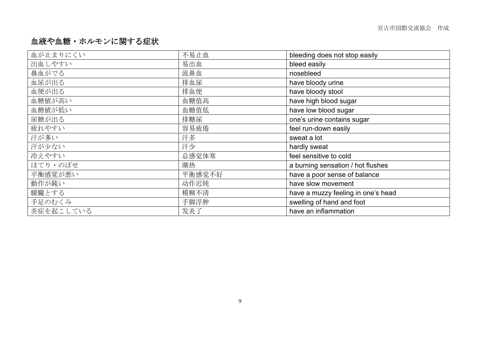#### 血液や血糖・ホルモンに関する症状

| 血が止まりにくい  | 不易止血   | bleeding does not stop easily      |
|-----------|--------|------------------------------------|
| 出血しやすい    | 易出血    | bleed easily                       |
| 鼻血がでる     | 流鼻血    | nosebleed                          |
| 血尿が出る     | 排血尿    | have bloody urine                  |
| 血便が出る     | 排血便    | have bloody stool                  |
| 血糖値が高い    | 血糖值高   | have high blood sugar              |
| 血糖値が低い    | 血糖值低   | have low blood sugar               |
| 尿糖が出る     | 排糖尿    | one's urine contains sugar         |
| 疲れやすい     | 容易疲倦   | feel run-down easily               |
| 汗が多い      | 汗多     | sweat a lot                        |
| 汗が少ない     | 汗少     | hardly sweat                       |
| 冷えやすい     | 总感觉体寒  | feel sensitive to cold             |
| ほてり・のぼせ   | 潮热     | a burning sensation / hot flushes  |
| 平衡感覚が悪い   | 平衡感觉不好 | have a poor sense of balance       |
| 動作が鈍い     | 动作迟钝   | have slow movement                 |
| 朦朧とする     | 模糊不清   | have a muzzy feeling in one's head |
| 手足のむくみ    | 手脚浮肿   | swelling of hand and foot          |
| 炎症を起こしている | 发炎了    | have an inflammation               |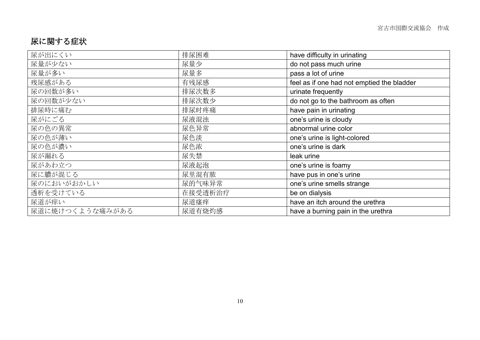#### 尿に関する症状

| 尿が出にくい          | 排尿困难    | have difficulty in urinating               |
|-----------------|---------|--------------------------------------------|
| 尿量が少ない          | 尿量少     | do not pass much urine                     |
| 尿量が多い           | 尿量多     | pass a lot of urine                        |
| 残尿感がある          | 有残尿感    | feel as if one had not emptied the bladder |
| 尿の回数が多い         | 排尿次数多   | urinate frequently                         |
| 尿の回数が少ない        | 排尿次数少   | do not go to the bathroom as often         |
| 排尿時に痛む          | 排尿时疼痛   | have pain in urinating                     |
| 尿がにごる           | 尿液混浊    | one's urine is cloudy                      |
| 尿の色の異常          | 尿色异常    | abnormal urine color                       |
| 尿の色が薄い          | 尿色淡     | one's urine is light-colored               |
| 尿の色が濃い          | 尿色浓     | one's urine is dark                        |
| 尿が漏れる           | 尿失禁     | leak urine                                 |
| 尿があわ立つ          | 尿液起泡    | one's urine is foamy                       |
| 尿に膿が混じる         | 尿里混有脓   | have pus in one's urine                    |
| 尿のにおいがおかしい      | 尿的气味异常  | one's urine smells strange                 |
| 透析を受けている        | 在接受透析治疗 | be on dialysis                             |
| 尿道が痒い           | 尿道瘙痒    | have an itch around the urethra            |
| 尿道に焼けつくような痛みがある | 尿道有烧灼感  | have a burning pain in the urethra         |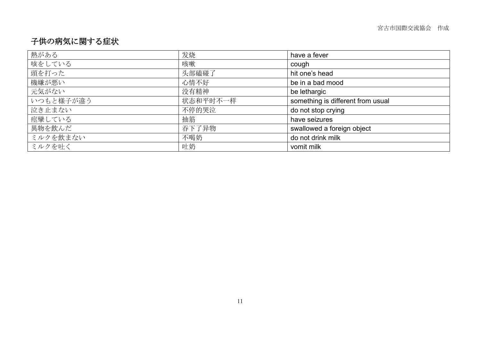#### 子供の病気に関する症状

| 熱がある      | 发烧       | have a fever                      |  |
|-----------|----------|-----------------------------------|--|
| 咳をしている    | 咳嗽       | cough                             |  |
| 頭を打った     | 头部磕碰了    | hit one's head                    |  |
| 機嫌が悪い     | 心情不好     | be in a bad mood                  |  |
| 元気がない     | 没有精神     | be lethargic                      |  |
| いつもと様子が違う | 状态和平时不一样 | something is different from usual |  |
| 泣き止まない    | 不停的哭泣    | do not stop crying                |  |
| 痙攣している    | 抽筋       | have seizures                     |  |
| 異物を飲んだ    | 吞下了异物    | swallowed a foreign object        |  |
| ミルクを飲まない  | 不喝奶      | do not drink milk                 |  |
| ミルクを吐く    | 吐奶       | vomit milk                        |  |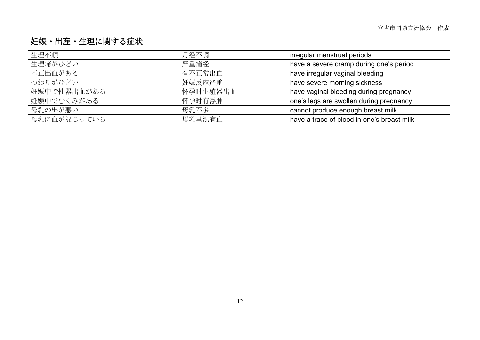#### 妊娠・出産・生理に関する症状

| 生理不順        | 月经不调     | irregular menstrual periods                |
|-------------|----------|--------------------------------------------|
| 生理痛がひどい     | 严重痛经     | have a severe cramp during one's period    |
| 不正出血がある     | 有不正常出血   | have irregular vaginal bleeding            |
| つわりがひどい     | 妊娠反应严重   | have severe morning sickness               |
| 妊娠中で性器出血がある | 怀孕时生殖器出血 | have vaginal bleeding during pregnancy     |
| 妊娠中でむくみがある  | 怀孕时有浮肿   | one's legs are swollen during pregnancy    |
| 母乳の出が悪い     | 母乳不多     | cannot produce enough breast milk          |
| 母乳に血が混じっている | 母乳里混有血   | have a trace of blood in one's breast milk |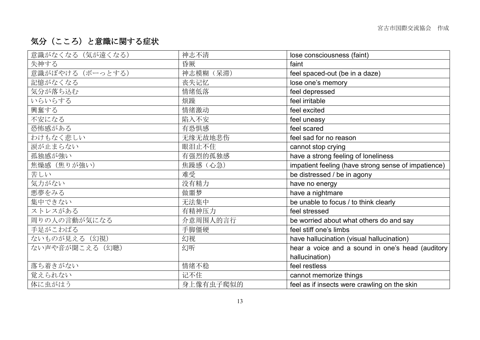## 気分(こころ)と意識に関する症状

| 神志不清      | lose consciousness (faint)                          |
|-----------|-----------------------------------------------------|
| 昏厥        | faint                                               |
| 神志模糊 (呆滞) | feel spaced-out (be in a daze)                      |
| 丧失记忆      | lose one's memory                                   |
| 情绪低落      | feel depressed                                      |
| 烦躁        | feel irritable                                      |
| 情绪激动      | feel excited                                        |
| 陷入不安      | feel uneasy                                         |
| 有恐惧感      | feel scared                                         |
| 无缘无故地悲伤   | feel sad for no reason                              |
| 眼泪止不住     | cannot stop crying                                  |
| 有强烈的孤独感   | have a strong feeling of loneliness                 |
| 焦躁感(心急)   | impatient feeling (have strong sense of impatience) |
| 难受        | be distressed / be in agony                         |
| 没有精力      | have no energy                                      |
| 做噩梦       | have a nightmare                                    |
| 无法集中      | be unable to focus / to think clearly               |
| 有精神压力     | feel stressed                                       |
| 介意周围人的言行  | be worried about what others do and say             |
| 手脚僵硬      | feel stiff one's limbs                              |
| 幻视        | have hallucination (visual hallucination)           |
| 幻听        | hear a voice and a sound in one's head (auditory    |
|           | hallucination)                                      |
| 情绪不稳      | feel restless                                       |
| 记不住       | cannot memorize things                              |
| 身上像有虫子爬似的 | feel as if insects were crawling on the skin        |
|           |                                                     |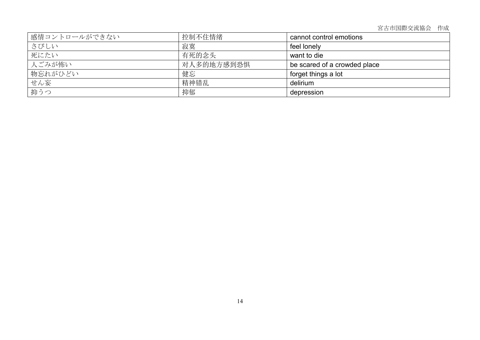宮古市国際交流協会 作成

| 感情コントロールができない | 控制不住情绪     | cannot control emotions      |
|---------------|------------|------------------------------|
| さびしい          | 寂寞         | feel lonely                  |
| 死にたい          | 有死的念头      | want to die                  |
| 人ごみが怖い        | 对人多的地方感到恐惧 | be scared of a crowded place |
| 物忘れがひどい       | 健忘         | forget things a lot          |
| せん妄           | 精神错乱       | delirium                     |
| 抑うつ           | 抑郁         | depression                   |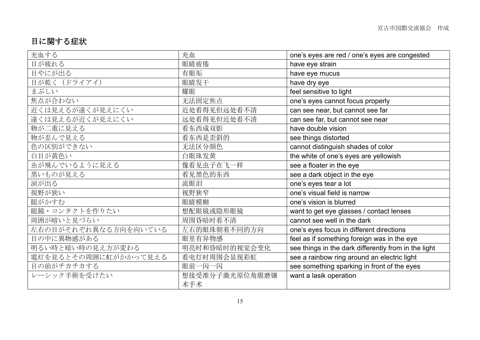#### 目に関する症状

| 充血する                 | 充血             | one's eyes are red / one's eyes are congested        |
|----------------------|----------------|------------------------------------------------------|
| 目が疲れる                | 眼睛疲倦           | have eye strain                                      |
| 目やにが出る               | 有眼垢            | have eye mucus                                       |
| 目が乾く (ドライアイ)         | 眼睛发干           | have dry eye                                         |
| まぶしい                 | 耀眼             | feel sensitive to light                              |
| 焦点が合わない              | 无法固定焦点         | one's eyes cannot focus properly                     |
| 近くは見えるが遠くが見えにくい      | 近处看得见但远处看不清    | can see near, but cannot see far                     |
| 遠くは見えるが近くが見えにくい      | 远处看得见但近处看不清    | can see far, but cannot see near                     |
| 物が二重に見える             | 看东西成双影         | have double vision                                   |
| 物が歪んで見える             | 看东西是歪斜的        | see things distorted                                 |
| 色の区別ができない            | 无法区分颜色         | cannot distinguish shades of color                   |
| 白目が黄色い               | 白眼珠发黄          | the white of one's eyes are yellowish                |
| 虫が飛んでいるように見える        | 像看见虫子在飞一样      | see a floater in the eye                             |
| 黒いものが見える             | 看见黑色的东西        | see a dark object in the eye                         |
| 涙が出る                 | 流眼泪            | one's eyes tear a lot                                |
| 視野が狭い                | 视野狭窄           | one's visual field is narrow                         |
| 眼がかすむ                | 眼睛模糊           | one's vision is blurred                              |
| 眼鏡・コンタクトを作りたい        | 想配眼镜或隐形眼镜      | want to get eye glasses / contact lenses             |
| 周囲が暗いと見づらい           | 周围昏暗时看不清       | cannot see well in the dark                          |
| 左右の目がそれぞれ異なる方向を向いている | 左右的眼珠朝着不同的方向   | one's eyes focus in different directions             |
| 目の中に異物感がある           | 眼里有异物感         | feel as if something foreign was in the eye          |
| 明るい時と暗い時の見え方が変わる     | 明亮时和昏暗时的视觉会变化  | see things in the dark differently from in the light |
| 電灯を見るとその周囲に虹がかかって見える | 看电灯时周围会显现彩虹    | see a rainbow ring around an electric light          |
| 目の前がチカチカする           | 眼前一闪一闪         | see something sparking in front of the eyes          |
| レーシック手術を受けたい         | 想接受准分子激光原位角膜磨镶 | want a lasik operation                               |
|                      | 术手术            |                                                      |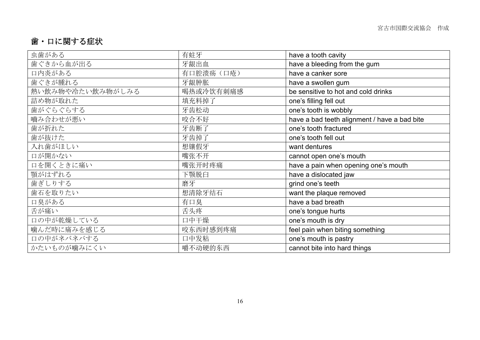### 歯・口に関する症状

| 虫歯がある            | 有蛀牙       | have a tooth cavity                          |
|------------------|-----------|----------------------------------------------|
| 歯ぐきから血が出る        | 牙龈出血      | have a bleeding from the gum                 |
| 口内炎がある           | 有口腔溃疡(口疮) | have a canker sore                           |
| 歯ぐきが腫れる          | 牙龈肿胀      | have a swollen gum                           |
| 熱い飲み物や冷たい飲み物がしみる | 喝热或冷饮有刺痛感 | be sensitive to hot and cold drinks          |
| 詰め物が取れた          | 填充料掉了     | one's filling fell out                       |
| 歯がぐらぐらする         | 牙齿松动      | one's tooth is wobbly                        |
| 嚙み合わせが悪い         | 咬合不好      | have a bad teeth alignment / have a bad bite |
| 歯が折れた            | 牙齿断了      | one's tooth fractured                        |
| 歯が抜けた            | 牙齿掉了      | one's tooth fell out                         |
| 入れ歯がほしい          | 想镶假牙      | want dentures                                |
| 口が開かない           | 嘴张不开      | cannot open one's mouth                      |
| 口を開くときに痛い        | 嘴张开时疼痛    | have a pain when opening one's mouth         |
| 顎がはずれる           | 下颚脱臼      | have a dislocated jaw                        |
| 歯ぎしりする           | 磨牙        | grind one's teeth                            |
| 歯石を取りたい          | 想清除牙结石    | want the plaque removed                      |
| 口臭がある            | 有口臭       | have a bad breath                            |
| 舌が痛い             | 舌头疼       | one's tongue hurts                           |
| 口の中が乾燥している       | 口中干燥      | one's mouth is dry                           |
| 噛んだ時に痛みを感じる      | 咬东西时感到疼痛  | feel pain when biting something              |
| 口の中がネバネバする       | 口中发粘      | one's mouth is pastry                        |
| かたいものが噛みにくい      | 嚼不动硬的东西   | cannot bite into hard things                 |